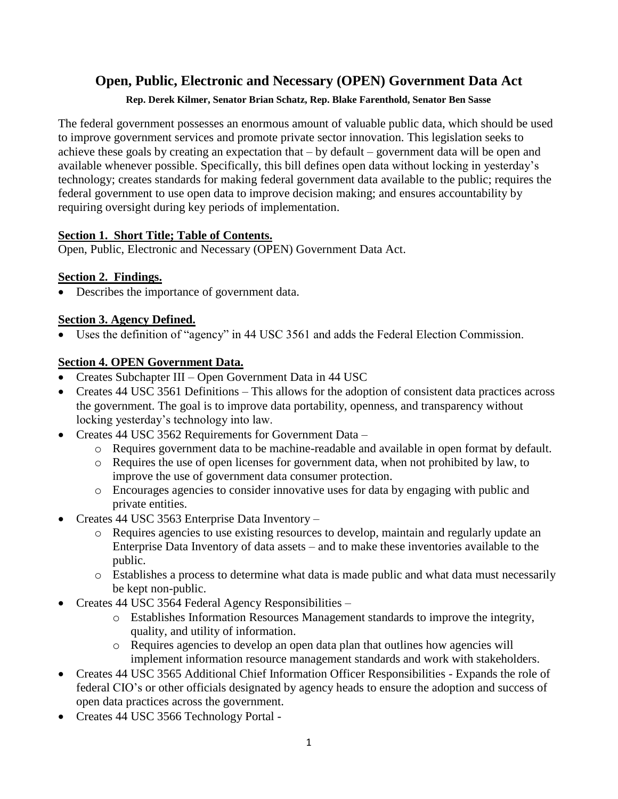# **Open, Public, Electronic and Necessary (OPEN) Government Data Act**

#### **Rep. Derek Kilmer, Senator Brian Schatz, Rep. Blake Farenthold, Senator Ben Sasse**

The federal government possesses an enormous amount of valuable public data, which should be used to improve government services and promote private sector innovation. This legislation seeks to achieve these goals by creating an expectation that – by default – government data will be open and available whenever possible. Specifically, this bill defines open data without locking in yesterday's technology; creates standards for making federal government data available to the public; requires the federal government to use open data to improve decision making; and ensures accountability by requiring oversight during key periods of implementation.

#### **Section 1. [Short Title; Table of Contents.](file:///C:/Users/SLWalker/AppData/Roaming/SoftQuad/XMetaL/7.0/gen/C/Program%20Files/XMetaL%207.0/Author/temp.xml%23toc-HCDA61FAAD398461EAFA29B6FE31655E7)**

Open, Public, Electronic and Necessary (OPEN) Government Data Act.

# **[Section 2.](file:///C:/Users/SLWalker/AppData/Roaming/SoftQuad/XMetaL/7.0/gen/C/Program%20Files/XMetaL%207.0/Author/temp.xml%23toc-H8A625C3E11C94FC3A100490BAFAA2DF7) Findings.**

• Describes the importance of government data.

# **Section 3. Agency Defined.**

• Uses the definition of "agency" in 44 USC 3561 and adds the Federal Election Commission.

# **Section 4. OPEN Government Data.**

- Creates Subchapter III Open Government Data in 44 USC
- Creates 44 USC 3561 Definitions This allows for the adoption of consistent data practices across the government. The goal is to improve data portability, openness, and transparency without locking yesterday's technology into law.
- Creates 44 USC 3562 Requirements for Government Data
	- o Requires government data to be machine-readable and available in open format by default.
	- o Requires the use of open licenses for government data, when not prohibited by law, to improve the use of government data consumer protection.
	- o Encourages agencies to consider innovative uses for data by engaging with public and private entities.
- Creates 44 USC 3563 Enterprise Data Inventory
	- o Requires agencies to use existing resources to develop, maintain and regularly update an Enterprise Data Inventory of data assets – and to make these inventories available to the public.
	- o Establishes a process to determine what data is made public and what data must necessarily be kept non-public.
- Creates 44 USC 3564 Federal Agency Responsibilities
	- o Establishes Information Resources Management standards to improve the integrity, quality, and utility of information.
	- o Requires agencies to develop an open data plan that outlines how agencies will implement information resource management standards and work with stakeholders.
- Creates 44 USC 3565 Additional Chief Information Officer Responsibilities Expands the role of federal CIO's or other officials designated by agency heads to ensure the adoption and success of open data practices across the government.
- Creates 44 USC 3566 Technology Portal -